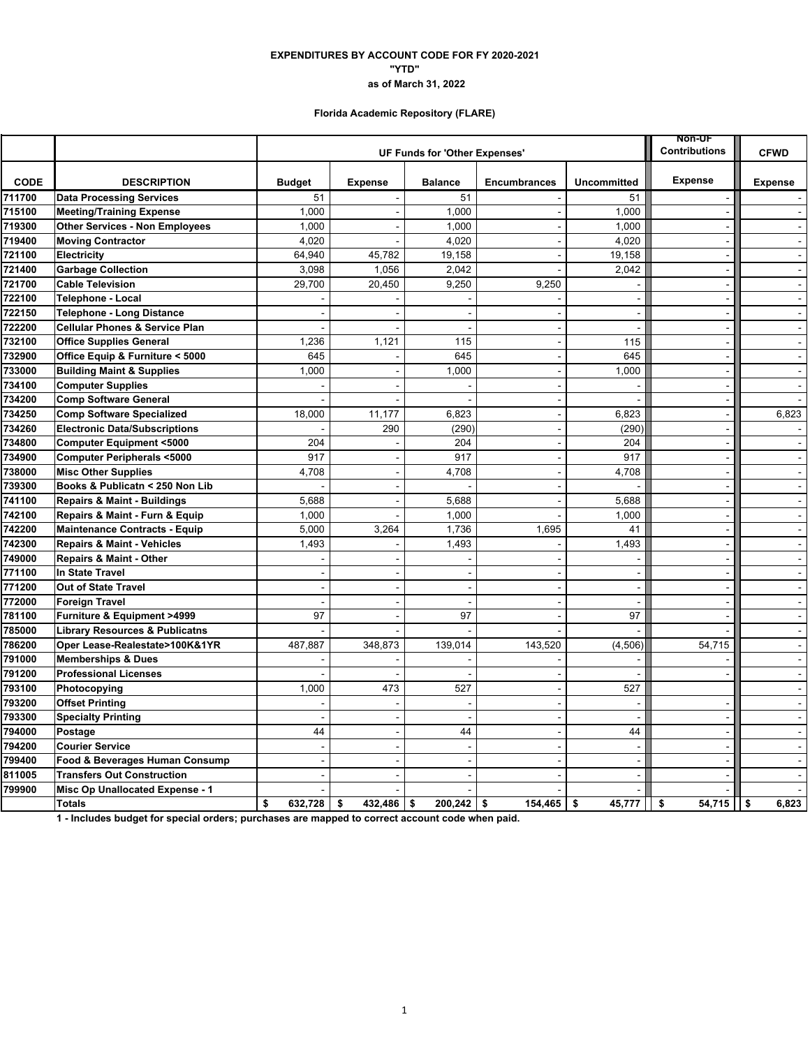### **EXPENDITURES BY ACCOUNT CODE FOR FY 2020-2021 "YTD" as of March 31, 2022**

# **Florida Academic Repository (FLARE)**

|             |                                           |                               | <b>NON-UF</b><br>Contributions | <b>CFWD</b>              |                          |                    |                       |                |
|-------------|-------------------------------------------|-------------------------------|--------------------------------|--------------------------|--------------------------|--------------------|-----------------------|----------------|
|             |                                           | UF Funds for 'Other Expenses' |                                |                          |                          |                    |                       |                |
| <b>CODE</b> | <b>DESCRIPTION</b>                        | <b>Budget</b>                 | <b>Expense</b>                 | <b>Balance</b>           | <b>Encumbrances</b>      | <b>Uncommitted</b> | <b>Expense</b>        | <b>Expense</b> |
| 711700      | <b>Data Processing Services</b>           | 51                            |                                | 51                       |                          | 51                 |                       |                |
| 715100      | <b>Meeting/Training Expense</b>           | 1,000                         |                                | 1,000                    | $\sim$                   | 1,000              | $\sim$                | $\sim$         |
| 719300      | <b>Other Services - Non Employees</b>     | 1,000                         | $\sim$                         | 1.000                    | $\sim$                   | 1,000              |                       | $\sim$         |
| 719400      | <b>Moving Contractor</b>                  | 4,020                         |                                | 4,020                    |                          | 4,020              |                       | $\sim$         |
| 721100      | <b>Electricity</b>                        | 64,940                        | 45,782                         | 19,158                   |                          | 19,158             | $\sim$                | $\sim$         |
| 721400      | <b>Garbage Collection</b>                 | 3,098                         | 1,056                          | 2,042                    |                          | 2,042              |                       | $\blacksquare$ |
| 721700      | <b>Cable Television</b>                   | 29,700                        | 20,450                         | 9,250                    | 9,250                    | $\blacksquare$     | $\blacksquare$        | $\sim$         |
| 722100      | <b>Telephone - Local</b>                  |                               |                                |                          |                          | $\blacksquare$     | $\blacksquare$        | $\blacksquare$ |
| 722150      | Telephone - Long Distance                 |                               |                                |                          |                          | $\blacksquare$     |                       | $\mathbf{r}$   |
| 722200      | <b>Cellular Phones &amp; Service Plan</b> |                               |                                | $\overline{\phantom{a}}$ |                          | $\sim$             | $\blacksquare$        | $\sim$         |
| 732100      | <b>Office Supplies General</b>            | 1,236                         | 1,121                          | 115                      | $\sim$                   | 115                | $\sim$                | $\Delta$       |
| 732900      | Office Equip & Furniture < 5000           | 645                           |                                | 645                      | $\ddot{\phantom{1}}$     | 645                | $\sim$                | $\blacksquare$ |
| 733000      | <b>Building Maint &amp; Supplies</b>      | 1,000                         |                                | 1,000                    | $\sim$                   | 1,000              | $\blacksquare$        | $\sim$         |
| 734100      | <b>Computer Supplies</b>                  |                               |                                |                          | $\sim$                   | $\sim$             | $\overline{a}$        | $\mathbf{r}$   |
| 734200      | <b>Comp Software General</b>              |                               |                                |                          | $\blacksquare$           |                    | $\blacksquare$        | $\blacksquare$ |
| 734250      | <b>Comp Software Specialized</b>          | 18,000                        | 11,177                         | 6,823                    | $\blacksquare$           | 6,823              | $\blacksquare$        | 6,823          |
| 734260      | <b>Electronic Data/Subscriptions</b>      |                               | 290                            | (290)                    |                          | (290)              |                       |                |
| 734800      | <b>Computer Equipment &lt;5000</b>        | 204                           |                                | 204                      | $\blacksquare$           | 204                | $\blacksquare$        | $\blacksquare$ |
| 734900      | <b>Computer Peripherals &lt;5000</b>      | 917                           |                                | 917                      | $\sim$                   | 917                | $\sim$                | $\sim$         |
| 738000      | <b>Misc Other Supplies</b>                | 4,708                         | $\overline{a}$                 | 4,708                    | $\blacksquare$           | 4,708              | $\sim$                | $\omega$       |
| 739300      | Books & Publicatn < 250 Non Lib           |                               |                                |                          | $\blacksquare$           |                    | $\blacksquare$        | $\sim$         |
| 741100      | <b>Repairs &amp; Maint - Buildings</b>    | 5,688                         |                                | 5,688                    | $\overline{a}$           | 5,688              | $\overline{a}$        | $\sim$         |
| 742100      | Repairs & Maint - Furn & Equip            | 1,000                         |                                | 1,000                    |                          | 1,000              |                       | $\blacksquare$ |
| 742200      | <b>Maintenance Contracts - Equip</b>      | 5,000                         | 3,264                          | 1,736                    | 1,695                    | 41                 | $\sim$                | $\sim$         |
| 742300      | <b>Repairs &amp; Maint - Vehicles</b>     | 1,493                         |                                | 1,493                    | $\sim$                   | 1,493              | $\sim$                | $\sim$         |
| 749000      | <b>Repairs &amp; Maint - Other</b>        |                               |                                |                          |                          |                    |                       | $\mathbf{r}$   |
| 771100      | In State Travel                           |                               |                                |                          |                          | $\sim$             | $\sim$                | $\sim$         |
| 771200      | <b>Out of State Travel</b>                |                               |                                |                          |                          | $\overline{a}$     |                       | $\Delta$       |
| 772000      | <b>Foreign Travel</b>                     |                               |                                |                          |                          |                    | $\sim$                | $\sim$         |
| 781100      | Furniture & Equipment >4999               | 97                            | $\overline{\phantom{a}}$       | 97                       | $\sim$                   | 97                 | $\sim$                | $\sim$         |
| 785000      | <b>Library Resources &amp; Publicatns</b> |                               |                                |                          |                          |                    |                       | $\sim$         |
| 786200      | Oper Lease-Realestate>100K&1YR            | 487,887                       | 348,873                        | 139,014                  | 143,520                  | (4,506)            | 54,715                | $\blacksquare$ |
| 791000      | <b>Memberships &amp; Dues</b>             |                               |                                |                          |                          |                    |                       | $\sim$         |
| 791200      | <b>Professional Licenses</b>              |                               |                                |                          |                          |                    |                       |                |
| 793100      | Photocopying                              | 1,000                         | 473                            | 527                      | $\blacksquare$           | 527                |                       | $\sim$         |
| 793200      | <b>Offset Printing</b>                    |                               |                                | ÷                        | $\sim$                   | $\sim$             | $\sim$                | $\sim$         |
| 793300      | <b>Specialty Printing</b>                 |                               | $\sim$                         | $\overline{a}$           | $\mathbf{r}$             | $\sim$             | $\sim$                | $\omega$       |
| 794000      | Postage                                   | 44                            |                                | 44                       | $\overline{\phantom{a}}$ | 44                 | $\sim$                | $\Delta$       |
| 794200      | <b>Courier Service</b>                    |                               | $\sim$                         | $\overline{a}$           | $\overline{\phantom{a}}$ | $\sim$             | $\overline{a}$        | $\sim$         |
| 799400      | Food & Beverages Human Consump            | $\overline{\phantom{a}}$      |                                |                          | $\overline{a}$           | $\blacksquare$     | $\tilde{\phantom{a}}$ | $\blacksquare$ |
| 811005      | <b>Transfers Out Construction</b>         |                               |                                |                          |                          | $\blacksquare$     |                       | $\sim$         |
| 799900      | Misc Op Unallocated Expense - 1           |                               |                                |                          |                          |                    |                       | $\sim$         |
|             | <b>Totals</b>                             | \$<br>632,728                 | 432.486<br>\$                  | \$<br>$200,242$ \$       | 154.465                  | 45,777<br>\$       | 54,715<br>\$          | l I s<br>6,823 |

**1 - Includes budget for special orders; purchases are mapped to correct account code when paid.**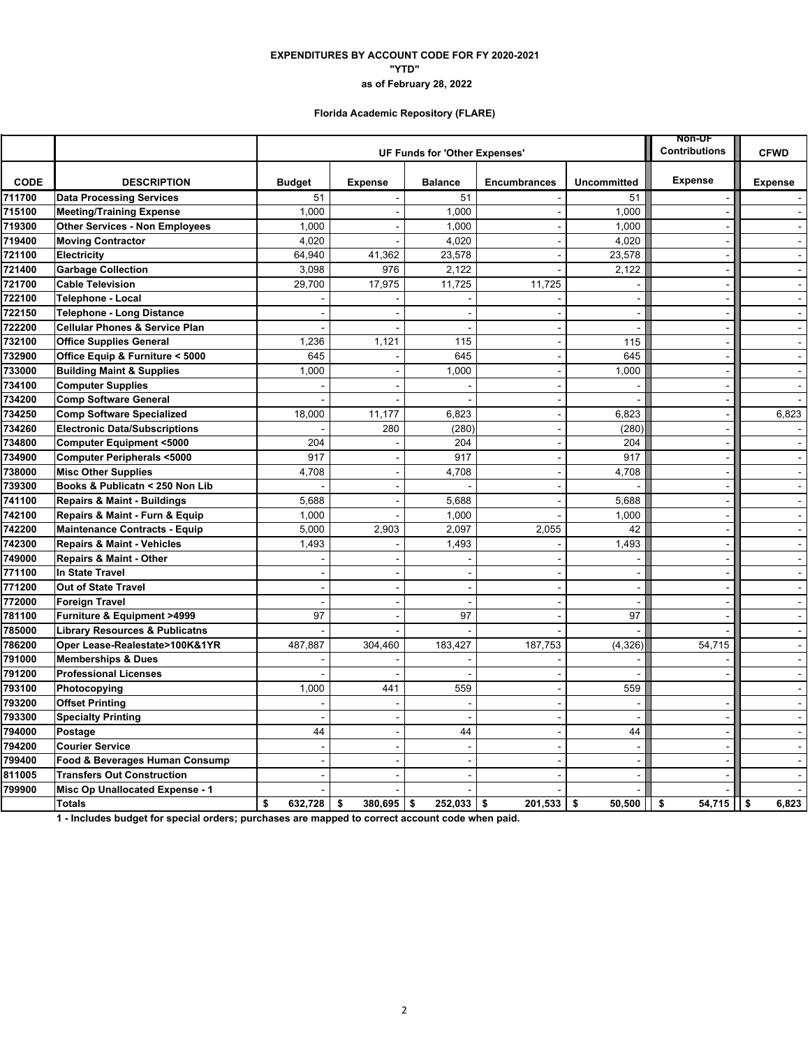### **"YTD" EXPENDITURES BY ACCOUNT CODE FOR FY 2020-2021 as of February 28, 2022**

# **Florida Academic Repository (FLARE)**

|             |                                           |               | <b>NON-UF</b><br><b>Contributions</b> | <b>CFWD</b>              |                          |                          |                          |                |
|-------------|-------------------------------------------|---------------|---------------------------------------|--------------------------|--------------------------|--------------------------|--------------------------|----------------|
|             |                                           |               |                                       |                          |                          |                          |                          |                |
| <b>CODE</b> | <b>DESCRIPTION</b>                        | <b>Budget</b> | <b>Expense</b>                        | <b>Balance</b>           | <b>Encumbrances</b>      | <b>Uncommitted</b>       | <b>Expense</b>           | <b>Expense</b> |
| 711700      | <b>Data Processing Services</b>           | 51            |                                       | 51                       |                          | 51                       |                          |                |
| 715100      | <b>Meeting/Training Expense</b>           | 1,000         |                                       | 1,000                    | $\sim$                   | 1,000                    | $\sim$                   | $\sim$         |
| 719300      | <b>Other Services - Non Employees</b>     | 1,000         |                                       | 1.000                    | $\sim$                   | 1,000                    |                          | $\sim$         |
| 719400      | <b>Moving Contractor</b>                  | 4,020         |                                       | 4,020                    |                          | 4,020                    |                          |                |
| 721100      | <b>Electricity</b>                        | 64,940        | 41,362                                | 23,578                   |                          | 23,578                   | $\sim$                   | $\sim$         |
| 721400      | <b>Garbage Collection</b>                 | 3,098         | 976                                   | 2.122                    |                          | 2,122                    |                          | $\sim$         |
| 721700      | <b>Cable Television</b>                   | 29,700        | 17,975                                | 11,725                   | 11,725                   | $\overline{\phantom{a}}$ | $\blacksquare$           | $\sim$         |
| 722100      | <b>Telephone - Local</b>                  |               |                                       |                          | $\sim$                   | $\sim$                   | $\sim$                   | $\blacksquare$ |
| 722150      | Telephone - Long Distance                 |               |                                       |                          |                          | $\blacksquare$           | ÷,                       | $\blacksquare$ |
| 722200      | <b>Cellular Phones &amp; Service Plan</b> |               |                                       | $\overline{\phantom{a}}$ |                          | $\blacksquare$           | $\blacksquare$           | $\sim$         |
| 732100      | <b>Office Supplies General</b>            | 1,236         | 1,121                                 | 115                      | $\blacksquare$           | 115                      | $\sim$                   | $\omega$       |
| 732900      | Office Equip & Furniture < 5000           | 645           |                                       | 645                      | $\blacksquare$           | 645                      | $\blacksquare$           | $\blacksquare$ |
| 733000      | <b>Building Maint &amp; Supplies</b>      | 1,000         |                                       | 1,000                    | $\sim$                   | 1,000                    | $\blacksquare$           | $\sim$         |
| 734100      | <b>Computer Supplies</b>                  |               |                                       |                          | $\overline{a}$           |                          |                          | $\omega$       |
| 734200      | <b>Comp Software General</b>              |               |                                       |                          |                          |                          | $\sim$                   | $\mathbf{r}$   |
| 734250      | <b>Comp Software Specialized</b>          | 18,000        | 11,177                                | 6,823                    | $\blacksquare$           | 6,823                    | $\blacksquare$           | 6,823          |
| 734260      | <b>Electronic Data/Subscriptions</b>      |               | 280                                   | (280)                    |                          | (280)                    | ÷,                       |                |
| 734800      | <b>Computer Equipment &lt;5000</b>        | 204           |                                       | 204                      | $\sim$                   | 204                      | $\sim$                   | $\blacksquare$ |
| 734900      | <b>Computer Peripherals &lt;5000</b>      | 917           |                                       | 917                      | $\blacksquare$           | 917                      | $\sim$                   | $\sim$         |
| 738000      | <b>Misc Other Supplies</b>                | 4,708         |                                       | 4,708                    | $\overline{a}$           | 4,708                    |                          | $\omega$       |
| 739300      | Books & Publicatn < 250 Non Lib           |               |                                       |                          | $\overline{\phantom{a}}$ |                          | $\sim$                   | $\sim$         |
| 741100      | <b>Repairs &amp; Maint - Buildings</b>    | 5,688         |                                       | 5,688                    |                          | 5,688                    | $\blacksquare$           | $\sim$         |
| 742100      | Repairs & Maint - Furn & Equip            | 1,000         |                                       | 1.000                    |                          | 1,000                    | $\blacksquare$           | $\blacksquare$ |
| 742200      | <b>Maintenance Contracts - Equip</b>      | 5,000         | 2,903                                 | 2,097                    | 2,055                    | 42                       | $\sim$                   | $\sim$         |
| 742300      | <b>Repairs &amp; Maint - Vehicles</b>     | 1,493         | $\overline{a}$                        | 1,493                    | $\sim$                   | 1,493                    | $\sim$                   | $\omega$       |
| 749000      | <b>Repairs &amp; Maint - Other</b>        |               |                                       |                          |                          |                          |                          | $\Delta$       |
| 771100      | In State Travel                           |               |                                       |                          |                          | $\sim$                   | $\sim$                   | $\sim$         |
| 771200      | Out of State Travel                       |               |                                       |                          |                          | $\blacksquare$           |                          | $\blacksquare$ |
| 772000      | <b>Foreign Travel</b>                     |               |                                       |                          |                          |                          |                          | $\sim$         |
| 781100      | <b>Furniture &amp; Equipment &gt;4999</b> | 97            | $\sim$                                | 97                       | $\blacksquare$           | 97                       | $\sim$                   | $\blacksquare$ |
| 785000      | <b>Library Resources &amp; Publicatns</b> |               |                                       |                          |                          |                          |                          | $\omega$       |
| 786200      | Oper Lease-Realestate>100K&1YR            | 487,887       | 304,460                               | 183,427                  | 187,753                  | (4, 326)                 | 54,715                   | $\blacksquare$ |
| 791000      | <b>Memberships &amp; Dues</b>             |               |                                       |                          |                          |                          |                          | $\sim$         |
| 791200      | <b>Professional Licenses</b>              |               |                                       |                          |                          |                          |                          | $\blacksquare$ |
| 793100      | Photocopying                              | 1,000         | 441                                   | 559                      | $\blacksquare$           | 559                      |                          | $\sim$         |
| 793200      | <b>Offset Printing</b>                    |               |                                       |                          | $\sim$                   | ÷                        | $\sim$                   | $\sim$         |
| 793300      | <b>Specialty Printing</b>                 |               |                                       |                          |                          |                          |                          | $\blacksquare$ |
| 794000      | Postage                                   | 44            |                                       | 44                       | $\sim$                   | 44                       | $\sim$                   | $\sim$         |
| 794200      | <b>Courier Service</b>                    |               |                                       |                          | $\overline{a}$           | $\sim$                   | $\sim$                   | $\Delta$       |
| 799400      | Food & Beverages Human Consump            |               |                                       |                          |                          | $\blacksquare$           | $\overline{\phantom{a}}$ | $\blacksquare$ |
| 811005      | <b>Transfers Out Construction</b>         |               |                                       |                          |                          | ÷.                       |                          | $\sim$         |
| 799900      | Misc Op Unallocated Expense - 1           |               |                                       |                          |                          |                          |                          | $\omega$       |
|             | <b>Totals</b>                             | \$<br>632,728 | $380,695$ \$<br>\$                    | $252.033$ \$             | 201,533                  | \$<br>50.500             | $54,715$   \$<br>\$      | 6,823          |

**1 - Includes budget for special orders; purchases are mapped to correct account code when paid.**